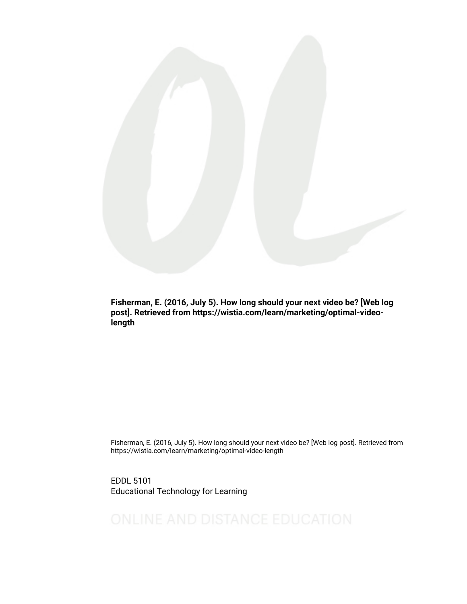

Fisherman, E. (2016, July 5). How long should your next video be? [Web log post]. Retrieved from https://wistia.com/learn/marketing/optimal-videolength

Fisherman, E. (2016, July 5). How long should your next video be? [Web log post]. Retrieved from https://wistia.com/learn/marketing/optimal-video-length

EDDL 5101 Educational Technology for Learning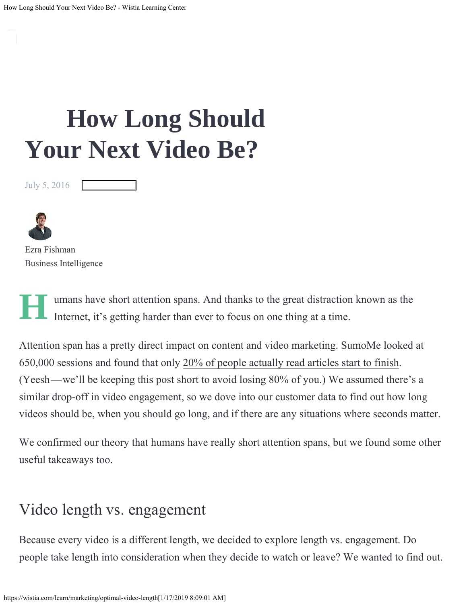# **[Ho](https://wistia.com/learn/showcase)w Long Should [Your](https://wistia.com/learn/culture) Next Video Be?**

July 5, 2016





Ezra Fishman Business Intelligence

**H** umans have short attention spans. And thanks to the great distraction known as the Internet, it's getting harder than ever to focus on one thing at a time.

Attention span has a pretty direct impact on content and video marketing. SumoMe looked at 650,000 sessions and found that only [20% of people actually read articles start to finish](https://sumome.com/stories/how-many-visitors-read-article). (Yeesh—we'll be keeping this post short to avoid losing 80% of you.) We assumed there's a similar drop-off in video engagement, so we dove into our customer data to find out how long videos should be, when you should go long, and if there are any situations where seconds matter.

We confirmed our theory that humans have really short attention spans, but we found some other useful takeaways too.

## [Video length vs. engagement](#page-3-0)

Because every video is a different length, we decided to explore length vs. engagement. Do people take length into consideration when they decide to watch or leave? We wanted to find out.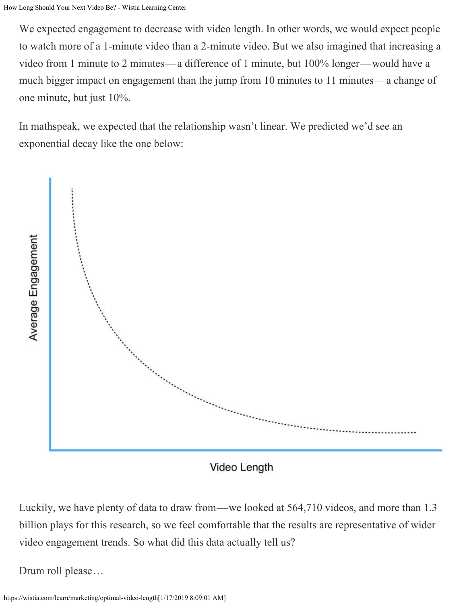We expected engagement to decrease with video length. In other words, we would expect people to watch more of a 1-minute video than a 2-minute video. But we also imagined that increasing a video from 1 minute to 2 minutes—a difference of 1 minute, but 100% longer—would have a much bigger impact on engagement than the jump from 10 minutes to 11 minutes—a change of one minute, but just 10%.

In mathspeak, we expected that the relationship wasn't linear. We predicted we'd see an exponential decay like the one below:



Luckily, we have plenty of data to draw from—we looked at 564,710 videos, and more than 1.3 billion plays for this research, so we feel comfortable that the results are representative of wider video engagement trends. So what did this data actually tell us?

Drum roll please…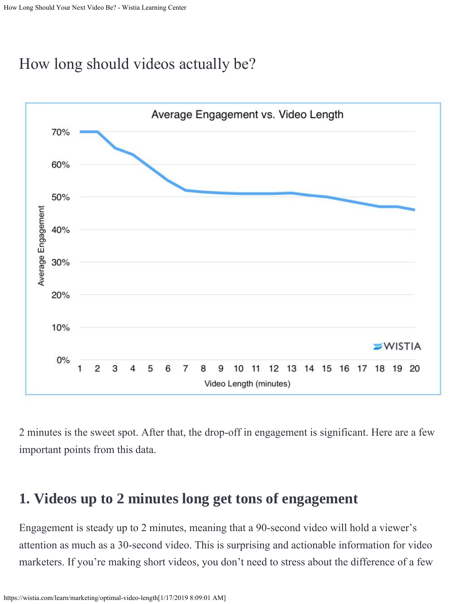## <span id="page-3-0"></span>[How long should videos actually be?](#page-7-0)



2 minutes is the sweet spot. After that, the drop-off in engagement is significant. Here are a few important points from this data.

#### <span id="page-3-1"></span>**[1. Videos up to 2 minutes long get tons of engagement](#page-3-1)**

Engagement is steady up to 2 minutes, meaning that a 90-second video will hold a viewer's attention as much as a 30-second video. This is surprising and actionable information for video marketers. If you're making short videos, you don't need to stress about the difference of a few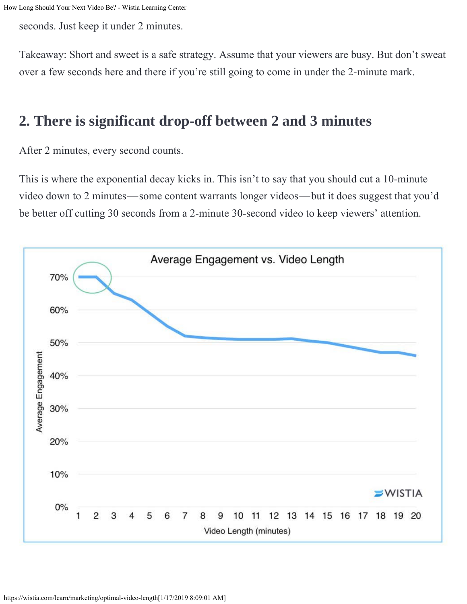seconds. Just keep it under 2 minutes.

Takeaway: Short and sweet is a safe strategy. Assume that your viewers are busy. But don't sweat over a few seconds here and there if you're still going to come in under the 2-minute mark.

### <span id="page-4-0"></span>**[2. There is significant drop-off between 2 and 3 minutes](#page-4-0)**

After 2 minutes, every second counts.

This is where the exponential decay kicks in. This isn't to say that you should cut a 10-minute video down to 2 minutes—some content warrants longer videos—but it does suggest that you'd be better off cutting 30 seconds from a 2-minute 30-second video to keep viewers' attention.

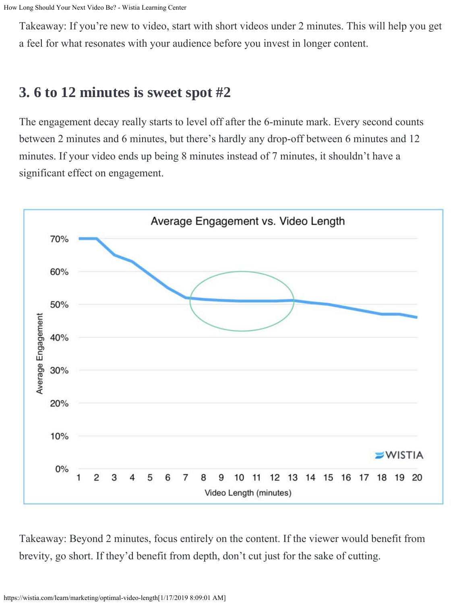Takeaway: If you're new to video, start with short videos under 2 minutes. This will help you get a feel for what resonates with your audience before you invest in longer content.

## <span id="page-5-0"></span>**[3. 6 to 12 minutes is sweet spot #2](#page-5-0)**

The engagement decay really starts to level off after the 6-minute mark. Every second counts between 2 minutes and 6 minutes, but there's hardly any drop-off between 6 minutes and 12 minutes. If your video ends up being 8 minutes instead of 7 minutes, it shouldn't have a significant effect on engagement.



Takeaway: Beyond 2 minutes, focus entirely on the content. If the viewer would benefit from brevity, go short. If they'd benefit from depth, don't cut just for the sake of cutting.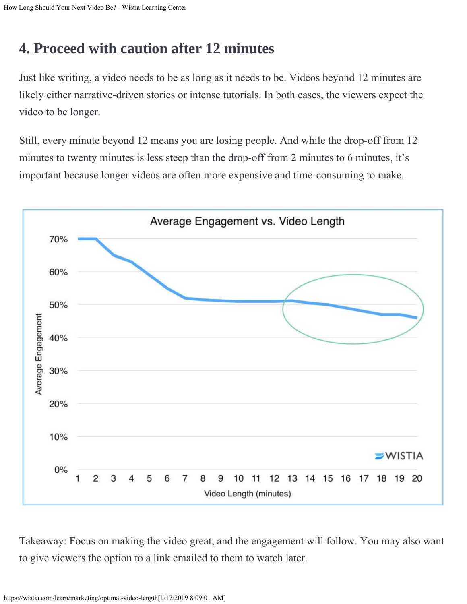# <span id="page-6-0"></span>**[4. Proceed with caution after 12 minutes](#page-6-0)**

Just like writing, a video needs to be as long as it needs to be. Videos beyond 12 minutes are likely either narrative-driven stories or intense tutorials. In both cases, the viewers expect the video to be longer.

Still, every minute beyond 12 means you are losing people. And while the drop-off from 12 minutes to twenty minutes is less steep than the drop-off from 2 minutes to 6 minutes, it's important because longer videos are often more expensive and time-consuming to make.



Takeaway: Focus on making the video great, and the engagement will follow. You may also want to give viewers the option to a link emailed to them to watch later.